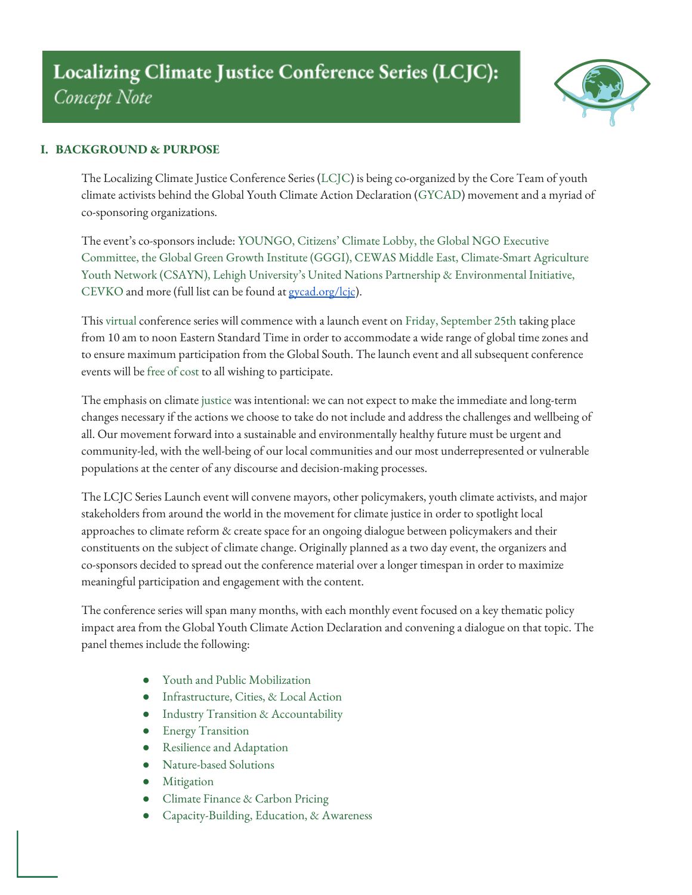

# **I. BACKGROUND & PURPOSE**

The Localizing Climate Justice Conference Series (LCJC) is being co-organized by the Core Team of youth climate activists behind the Global Youth Climate Action Declaration (GYCAD) movement and a myriad of co-sponsoring organizations.

The event's co-sponsors include: YOUNGO, Citizens' Climate Lobby, the Global NGO Executive Committee, the Global Green Growth Institute (GGGI), CEWAS Middle East, Climate-Smart Agriculture Youth Network (CSAYN), Lehigh University's United Nations Partnership & Environmental Initiative, CEVKO and more (full list can be found at [gycad.org/lcjc](http://gycad.org/lcjc)).

This virtual conference series will commence with a launch event on Friday, September 25th taking place from 10 am to noon Eastern Standard Time in order to accommodate a wide range of global time zones and to ensure maximum participation from the Global South. The launch event and all subsequent conference events will be free of cost to all wishing to participate.

The emphasis on climate justice was intentional: we can not expect to make the immediate and long-term changes necessary if the actions we choose to take do not include and address the challenges and wellbeing of all. Our movement forward into a sustainable and environmentally healthy future must be urgent and community-led, with the well-being of our local communities and our most underrepresented or vulnerable populations at the center of any discourse and decision-making processes.

The LCJC Series Launch event will convene mayors, other policymakers, youth climate activists, and major stakeholders from around the world in the movement for climate justice in order to spotlight local approaches to climate reform & create space for an ongoing dialogue between policymakers and their constituents on the subject of climate change. Originally planned as a two day event, the organizers and co-sponsors decided to spread out the conference material over a longer timespan in order to maximize meaningful participation and engagement with the content.

The conference series will span many months, with each monthly event focused on a key thematic policy impact area from the Global Youth Climate Action Declaration and convening a dialogue on that topic. The panel themes include the following:

- Youth and Public Mobilization
- Infrastructure, Cities, & Local Action
- Industry Transition & Accountability
- Energy Transition
- Resilience and Adaptation
- Nature-based Solutions
- **Mitigation**
- Climate Finance & Carbon Pricing
- Capacity-Building, Education, & Awareness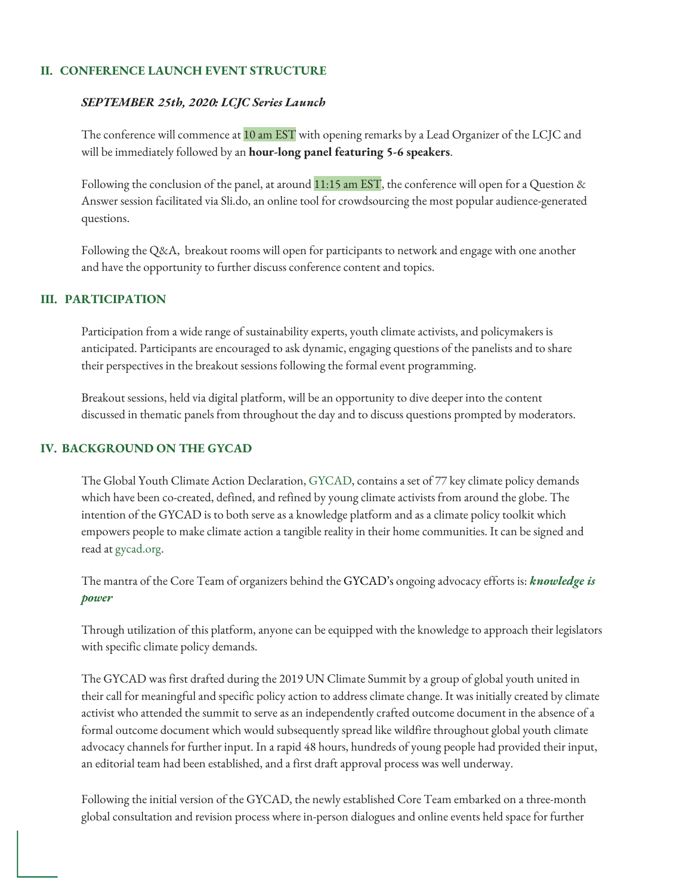#### **II. CONFERENCE LAUNCH EVENT STRUCTURE**

#### *SEPTEMBER 25th, 2020: LCJC Series Launch*

The conference will commence at 10 am EST with opening remarks by a Lead Organizer of the LCJC and will be immediately followed by an **hour-long panel featuring 5-6 speakers**.

Following the conclusion of the panel, at around 11:15 am EST, the conference will open for a Question & Answer session facilitated via Sli.do, an online tool for crowdsourcing the most popular audience-generated questions.

Following the Q&A, breakout rooms will open for participants to network and engage with one another and have the opportunity to further discuss conference content and topics.

### **III. PARTICIPATION**

Participation from a wide range of sustainability experts, youth climate activists, and policymakers is anticipated. Participants are encouraged to ask dynamic, engaging questions of the panelists and to share their perspectives in the breakout sessions following the formal event programming.

Breakout sessions, held via digital platform, will be an opportunity to dive deeper into the content discussed in thematic panels from throughout the day and to discuss questions prompted by moderators.

## **IV. BACKGROUND ON THE GYCAD**

The Global Youth Climate Action Declaration, GYCAD, contains a set of 77 key climate policy demands which have been co-created, defined, and refined by young climate activists from around the globe. The intention of the GYCAD is to both serve as a knowledge platform and as a climate policy toolkit which empowers people to make climate action a tangible reality in their home communities. It can be signed and read at gycad.org.

The mantra of the Core Team of organizers behind the GYCAD's ongoing advocacy efforts is: *knowledge is power*

Through utilization of this platform, anyone can be equipped with the knowledge to approach their legislators with specific climate policy demands.

The GYCAD was first drafted during the 2019 UN Climate Summit by a group of global youth united in their call for meaningful and specific policy action to address climate change. It was initially created by climate activist who attended the summit to serve as an independently crafted outcome document in the absence of a formal outcome document which would subsequently spread like wildfire throughout global youth climate advocacy channels for further input. In a rapid 48 hours, hundreds of young people had provided their input, an editorial team had been established, and a first draft approval process was well underway.

Following the initial version of the GYCAD, the newly established Core Team embarked on a three-month global consultation and revision process where in-person dialogues and online events held space for further